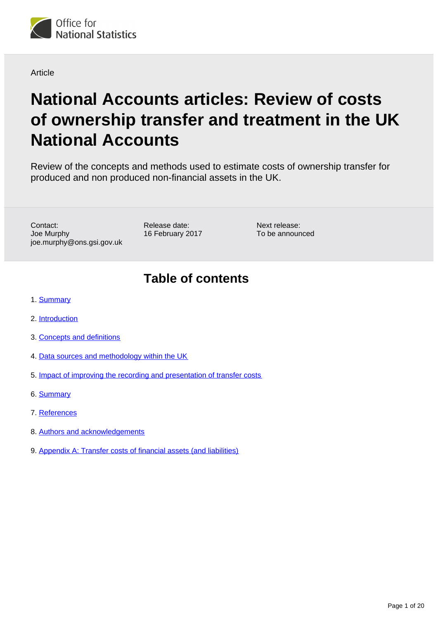

#### **Article**

# **National Accounts articles: Review of costs of ownership transfer and treatment in the UK National Accounts**

Review of the concepts and methods used to estimate costs of ownership transfer for produced and non produced non-financial assets in the UK.

Contact: Joe Murphy joe.murphy@ons.gsi.gov.uk Release date: 16 February 2017 Next release: To be announced

## **Table of contents**

- 1. [Summary](#page-18-0)
- 2. [Introduction](#page-1-0)
- 3. [Concepts and definitions](#page-1-1)
- 4. [Data sources and methodology within the UK](#page-12-0)
- 5. [Impact of improving the recording and presentation of transfer costs](#page-18-1)
- 6. [Summary](#page-18-0)
- 7. [References](#page-19-0)
- 8. [Authors and acknowledgements](#page-19-1)
- 9. [Appendix A: Transfer costs of financial assets \(and liabilities\)](#page-19-2)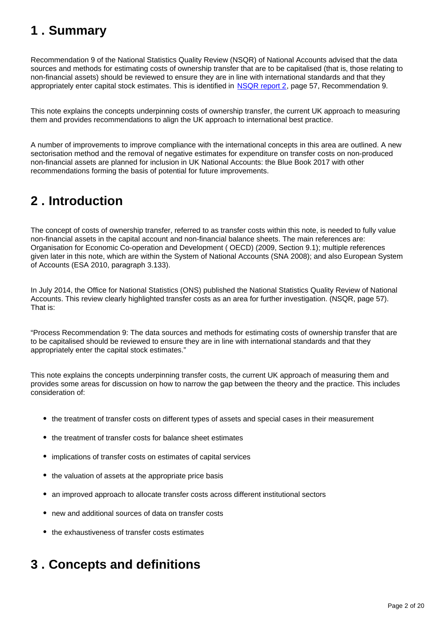## **1 . Summary**

Recommendation 9 of the National Statistics Quality Review (NSQR) of National Accounts advised that the data sources and methods for estimating costs of ownership transfer that are to be capitalised (that is, those relating to non-financial assets) should be reviewed to ensure they are in line with international standards and that they appropriately enter capital stock estimates. This is identified in [NSQR report 2,](http://www.ons.gov.uk/ons/guide-method/method-quality/quality/nsqr/full-list-of-completed-quality-reviews/index.html) page 57, Recommendation 9.

This note explains the concepts underpinning costs of ownership transfer, the current UK approach to measuring them and provides recommendations to align the UK approach to international best practice.

A number of improvements to improve compliance with the international concepts in this area are outlined. A new sectorisation method and the removal of negative estimates for expenditure on transfer costs on non-produced non-financial assets are planned for inclusion in UK National Accounts: the Blue Book 2017 with other recommendations forming the basis of potential for future improvements.

## <span id="page-1-0"></span>**2 . Introduction**

The concept of costs of ownership transfer, referred to as transfer costs within this note, is needed to fully value non-financial assets in the capital account and non-financial balance sheets. The main references are: Organisation for Economic Co-operation and Development ( OECD) (2009, Section 9.1); multiple references given later in this note, which are within the System of National Accounts (SNA 2008); and also European System of Accounts (ESA 2010, paragraph 3.133).

In July 2014, the Office for National Statistics (ONS) published the National Statistics Quality Review of National Accounts. This review clearly highlighted transfer costs as an area for further investigation. (NSQR, page 57). That is:

"Process Recommendation 9: The data sources and methods for estimating costs of ownership transfer that are to be capitalised should be reviewed to ensure they are in line with international standards and that they appropriately enter the capital stock estimates."

This note explains the concepts underpinning transfer costs, the current UK approach of measuring them and provides some areas for discussion on how to narrow the gap between the theory and the practice. This includes consideration of:

- the treatment of transfer costs on different types of assets and special cases in their measurement
- the treatment of transfer costs for balance sheet estimates
- implications of transfer costs on estimates of capital services
- the valuation of assets at the appropriate price basis
- an improved approach to allocate transfer costs across different institutional sectors
- new and additional sources of data on transfer costs
- the exhaustiveness of transfer costs estimates

# <span id="page-1-1"></span>**3 . Concepts and definitions**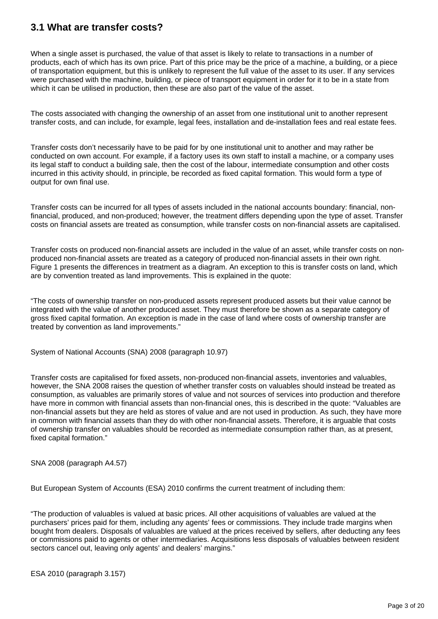## **3.1 What are transfer costs?**

When a single asset is purchased, the value of that asset is likely to relate to transactions in a number of products, each of which has its own price. Part of this price may be the price of a machine, a building, or a piece of transportation equipment, but this is unlikely to represent the full value of the asset to its user. If any services were purchased with the machine, building, or piece of transport equipment in order for it to be in a state from which it can be utilised in production, then these are also part of the value of the asset.

The costs associated with changing the ownership of an asset from one institutional unit to another represent transfer costs, and can include, for example, legal fees, installation and de-installation fees and real estate fees.

Transfer costs don't necessarily have to be paid for by one institutional unit to another and may rather be conducted on own account. For example, if a factory uses its own staff to install a machine, or a company uses its legal staff to conduct a building sale, then the cost of the labour, intermediate consumption and other costs incurred in this activity should, in principle, be recorded as fixed capital formation. This would form a type of output for own final use.

Transfer costs can be incurred for all types of assets included in the national accounts boundary: financial, nonfinancial, produced, and non-produced; however, the treatment differs depending upon the type of asset. Transfer costs on financial assets are treated as consumption, while transfer costs on non-financial assets are capitalised.

Transfer costs on produced non-financial assets are included in the value of an asset, while transfer costs on nonproduced non-financial assets are treated as a category of produced non-financial assets in their own right. Figure 1 presents the differences in treatment as a diagram. An exception to this is transfer costs on land, which are by convention treated as land improvements. This is explained in the quote:

"The costs of ownership transfer on non-produced assets represent produced assets but their value cannot be integrated with the value of another produced asset. They must therefore be shown as a separate category of gross fixed capital formation. An exception is made in the case of land where costs of ownership transfer are treated by convention as land improvements."

System of National Accounts (SNA) 2008 (paragraph 10.97)

Transfer costs are capitalised for fixed assets, non-produced non-financial assets, inventories and valuables, however, the SNA 2008 raises the question of whether transfer costs on valuables should instead be treated as consumption, as valuables are primarily stores of value and not sources of services into production and therefore have more in common with financial assets than non-financial ones, this is described in the quote: "Valuables are non-financial assets but they are held as stores of value and are not used in production. As such, they have more in common with financial assets than they do with other non-financial assets. Therefore, it is arguable that costs of ownership transfer on valuables should be recorded as intermediate consumption rather than, as at present, fixed capital formation."

SNA 2008 (paragraph A4.57)

But European System of Accounts (ESA) 2010 confirms the current treatment of including them:

"The production of valuables is valued at basic prices. All other acquisitions of valuables are valued at the purchasers' prices paid for them, including any agents' fees or commissions. They include trade margins when bought from dealers. Disposals of valuables are valued at the prices received by sellers, after deducting any fees or commissions paid to agents or other intermediaries. Acquisitions less disposals of valuables between resident sectors cancel out, leaving only agents' and dealers' margins."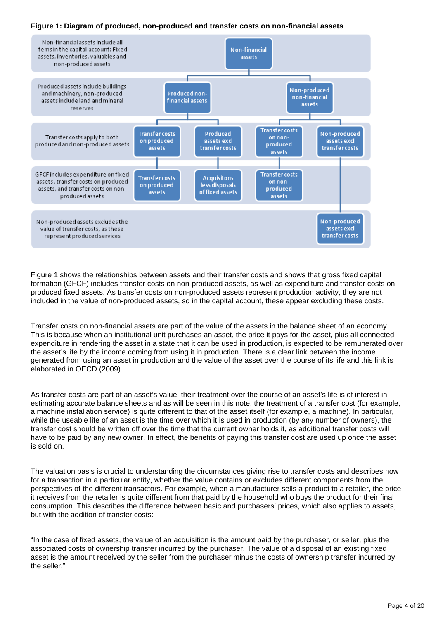#### **Figure 1: Diagram of produced, non-produced and transfer costs on non-financial assets**



Figure 1 shows the relationships between assets and their transfer costs and shows that gross fixed capital formation (GFCF) includes transfer costs on non-produced assets, as well as expenditure and transfer costs on produced fixed assets. As transfer costs on non-produced assets represent production activity, they are not included in the value of non-produced assets, so in the capital account, these appear excluding these costs.

Transfer costs on non-financial assets are part of the value of the assets in the balance sheet of an economy. This is because when an institutional unit purchases an asset, the price it pays for the asset, plus all connected expenditure in rendering the asset in a state that it can be used in production, is expected to be remunerated over the asset's life by the income coming from using it in production. There is a clear link between the income generated from using an asset in production and the value of the asset over the course of its life and this link is elaborated in OECD (2009).

As transfer costs are part of an asset's value, their treatment over the course of an asset's life is of interest in estimating accurate balance sheets and as will be seen in this note, the treatment of a transfer cost (for example, a machine installation service) is quite different to that of the asset itself (for example, a machine). In particular, while the useable life of an asset is the time over which it is used in production (by any number of owners), the transfer cost should be written off over the time that the current owner holds it, as additional transfer costs will have to be paid by any new owner. In effect, the benefits of paying this transfer cost are used up once the asset is sold on.

The valuation basis is crucial to understanding the circumstances giving rise to transfer costs and describes how for a transaction in a particular entity, whether the value contains or excludes different components from the perspectives of the different transactors. For example, when a manufacturer sells a product to a retailer, the price it receives from the retailer is quite different from that paid by the household who buys the product for their final consumption. This describes the difference between basic and purchasers' prices, which also applies to assets, but with the addition of transfer costs:

"In the case of fixed assets, the value of an acquisition is the amount paid by the purchaser, or seller, plus the associated costs of ownership transfer incurred by the purchaser. The value of a disposal of an existing fixed asset is the amount received by the seller from the purchaser minus the costs of ownership transfer incurred by the seller."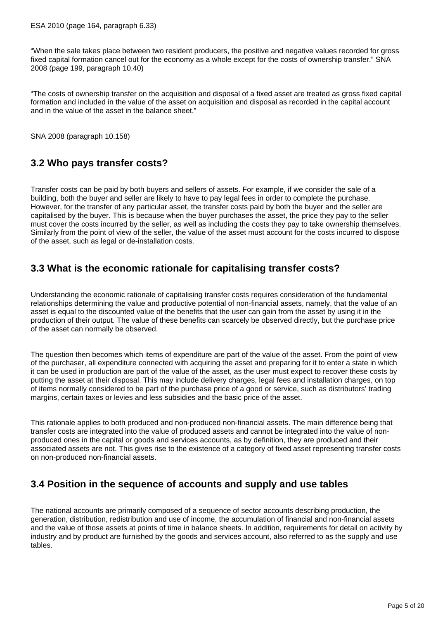"When the sale takes place between two resident producers, the positive and negative values recorded for gross fixed capital formation cancel out for the economy as a whole except for the costs of ownership transfer." SNA 2008 (page 199, paragraph 10.40)

"The costs of ownership transfer on the acquisition and disposal of a fixed asset are treated as gross fixed capital formation and included in the value of the asset on acquisition and disposal as recorded in the capital account and in the value of the asset in the balance sheet."

SNA 2008 (paragraph 10.158)

### **3.2 Who pays transfer costs?**

Transfer costs can be paid by both buyers and sellers of assets. For example, if we consider the sale of a building, both the buyer and seller are likely to have to pay legal fees in order to complete the purchase. However, for the transfer of any particular asset, the transfer costs paid by both the buyer and the seller are capitalised by the buyer. This is because when the buyer purchases the asset, the price they pay to the seller must cover the costs incurred by the seller, as well as including the costs they pay to take ownership themselves. Similarly from the point of view of the seller, the value of the asset must account for the costs incurred to dispose of the asset, such as legal or de-installation costs.

### **3.3 What is the economic rationale for capitalising transfer costs?**

Understanding the economic rationale of capitalising transfer costs requires consideration of the fundamental relationships determining the value and productive potential of non-financial assets, namely, that the value of an asset is equal to the discounted value of the benefits that the user can gain from the asset by using it in the production of their output. The value of these benefits can scarcely be observed directly, but the purchase price of the asset can normally be observed.

The question then becomes which items of expenditure are part of the value of the asset. From the point of view of the purchaser, all expenditure connected with acquiring the asset and preparing for it to enter a state in which it can be used in production are part of the value of the asset, as the user must expect to recover these costs by putting the asset at their disposal. This may include delivery charges, legal fees and installation charges, on top of items normally considered to be part of the purchase price of a good or service, such as distributors' trading margins, certain taxes or levies and less subsidies and the basic price of the asset.

This rationale applies to both produced and non-produced non-financial assets. The main difference being that transfer costs are integrated into the value of produced assets and cannot be integrated into the value of nonproduced ones in the capital or goods and services accounts, as by definition, they are produced and their associated assets are not. This gives rise to the existence of a category of fixed asset representing transfer costs on non-produced non-financial assets.

### **3.4 Position in the sequence of accounts and supply and use tables**

The national accounts are primarily composed of a sequence of sector accounts describing production, the generation, distribution, redistribution and use of income, the accumulation of financial and non-financial assets and the value of those assets at points of time in balance sheets. In addition, requirements for detail on activity by industry and by product are furnished by the goods and services account, also referred to as the supply and use tables.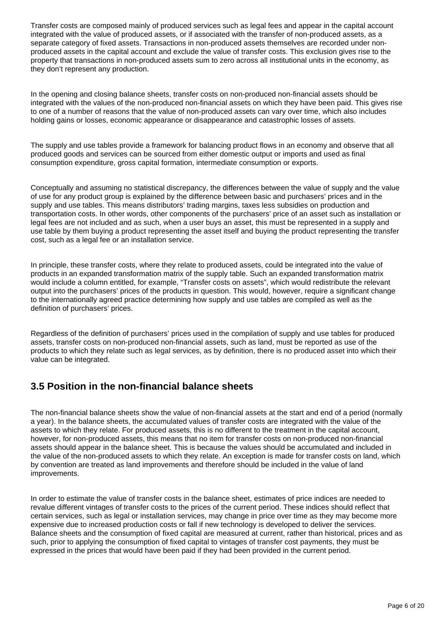Transfer costs are composed mainly of produced services such as legal fees and appear in the capital account integrated with the value of produced assets, or if associated with the transfer of non-produced assets, as a separate category of fixed assets. Transactions in non-produced assets themselves are recorded under nonproduced assets in the capital account and exclude the value of transfer costs. This exclusion gives rise to the property that transactions in non-produced assets sum to zero across all institutional units in the economy, as they don't represent any production.

In the opening and closing balance sheets, transfer costs on non-produced non-financial assets should be integrated with the values of the non-produced non-financial assets on which they have been paid. This gives rise to one of a number of reasons that the value of non-produced assets can vary over time, which also includes holding gains or losses, economic appearance or disappearance and catastrophic losses of assets.

The supply and use tables provide a framework for balancing product flows in an economy and observe that all produced goods and services can be sourced from either domestic output or imports and used as final consumption expenditure, gross capital formation, intermediate consumption or exports.

Conceptually and assuming no statistical discrepancy, the differences between the value of supply and the value of use for any product group is explained by the difference between basic and purchasers' prices and in the supply and use tables. This means distributors' trading margins, taxes less subsidies on production and transportation costs. In other words, other components of the purchasers' price of an asset such as installation or legal fees are not included and as such, when a user buys an asset, this must be represented in a supply and use table by them buying a product representing the asset itself and buying the product representing the transfer cost, such as a legal fee or an installation service.

In principle, these transfer costs, where they relate to produced assets, could be integrated into the value of products in an expanded transformation matrix of the supply table. Such an expanded transformation matrix would include a column entitled, for example, "Transfer costs on assets", which would redistribute the relevant output into the purchasers' prices of the products in question. This would, however, require a significant change to the internationally agreed practice determining how supply and use tables are compiled as well as the definition of purchasers' prices.

Regardless of the definition of purchasers' prices used in the compilation of supply and use tables for produced assets, transfer costs on non-produced non-financial assets, such as land, must be reported as use of the products to which they relate such as legal services, as by definition, there is no produced asset into which their value can be integrated.

### **3.5 Position in the non-financial balance sheets**

The non-financial balance sheets show the value of non-financial assets at the start and end of a period (normally a year). In the balance sheets, the accumulated values of transfer costs are integrated with the value of the assets to which they relate. For produced assets, this is no different to the treatment in the capital account, however, for non-produced assets, this means that no item for transfer costs on non-produced non-financial assets should appear in the balance sheet. This is because the values should be accumulated and included in the value of the non-produced assets to which they relate. An exception is made for transfer costs on land, which by convention are treated as land improvements and therefore should be included in the value of land improvements.

In order to estimate the value of transfer costs in the balance sheet, estimates of price indices are needed to revalue different vintages of transfer costs to the prices of the current period. These indices should reflect that certain services, such as legal or installation services, may change in price over time as they may become more expensive due to increased production costs or fall if new technology is developed to deliver the services. Balance sheets and the consumption of fixed capital are measured at current, rather than historical, prices and as such, prior to applying the consumption of fixed capital to vintages of transfer cost payments, they must be expressed in the prices that would have been paid if they had been provided in the current period.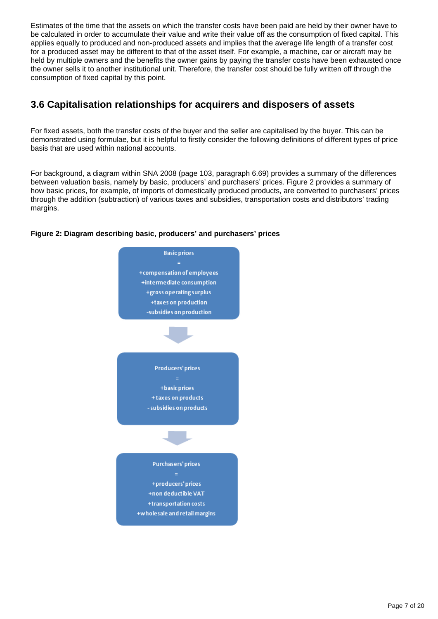Estimates of the time that the assets on which the transfer costs have been paid are held by their owner have to be calculated in order to accumulate their value and write their value off as the consumption of fixed capital. This applies equally to produced and non-produced assets and implies that the average life length of a transfer cost for a produced asset may be different to that of the asset itself. For example, a machine, car or aircraft may be held by multiple owners and the benefits the owner gains by paying the transfer costs have been exhausted once the owner sells it to another institutional unit. Therefore, the transfer cost should be fully written off through the consumption of fixed capital by this point.

## **3.6 Capitalisation relationships for acquirers and disposers of assets**

For fixed assets, both the transfer costs of the buyer and the seller are capitalised by the buyer. This can be demonstrated using formulae, but it is helpful to firstly consider the following definitions of different types of price basis that are used within national accounts.

For background, a diagram within SNA 2008 (page 103, paragraph 6.69) provides a summary of the differences between valuation basis, namely by basic, producers' and purchasers' prices. Figure 2 provides a summary of how basic prices, for example, of imports of domestically produced products, are converted to purchasers' prices through the addition (subtraction) of various taxes and subsidies, transportation costs and distributors' trading margins.

#### **Figure 2: Diagram describing basic, producers' and purchasers' prices**

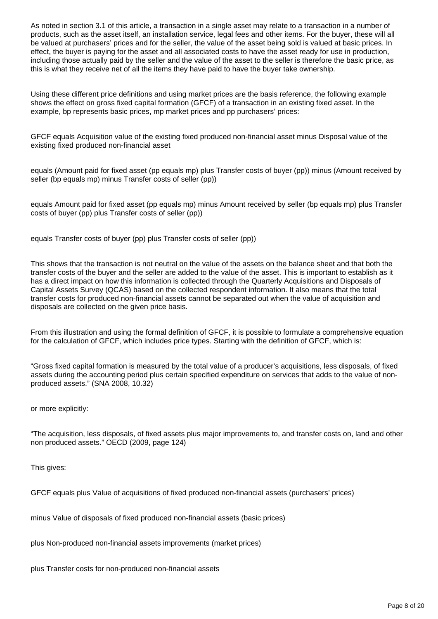As noted in section 3.1 of this article, a transaction in a single asset may relate to a transaction in a number of products, such as the asset itself, an installation service, legal fees and other items. For the buyer, these will all be valued at purchasers' prices and for the seller, the value of the asset being sold is valued at basic prices. In effect, the buyer is paying for the asset and all associated costs to have the asset ready for use in production, including those actually paid by the seller and the value of the asset to the seller is therefore the basic price, as this is what they receive net of all the items they have paid to have the buyer take ownership.

Using these different price definitions and using market prices are the basis reference, the following example shows the effect on gross fixed capital formation (GFCF) of a transaction in an existing fixed asset. In the example, bp represents basic prices, mp market prices and pp purchasers' prices:

GFCF equals Acquisition value of the existing fixed produced non-financial asset minus Disposal value of the existing fixed produced non-financial asset

equals (Amount paid for fixed asset (pp equals mp) plus Transfer costs of buyer (pp)) minus (Amount received by seller (bp equals mp) minus Transfer costs of seller (pp))

equals Amount paid for fixed asset (pp equals mp) minus Amount received by seller (bp equals mp) plus Transfer costs of buyer (pp) plus Transfer costs of seller (pp))

equals Transfer costs of buyer (pp) plus Transfer costs of seller (pp))

This shows that the transaction is not neutral on the value of the assets on the balance sheet and that both the transfer costs of the buyer and the seller are added to the value of the asset. This is important to establish as it has a direct impact on how this information is collected through the Quarterly Acquisitions and Disposals of Capital Assets Survey (QCAS) based on the collected respondent information. It also means that the total transfer costs for produced non-financial assets cannot be separated out when the value of acquisition and disposals are collected on the given price basis.

From this illustration and using the formal definition of GFCF, it is possible to formulate a comprehensive equation for the calculation of GFCF, which includes price types. Starting with the definition of GFCF, which is:

"Gross fixed capital formation is measured by the total value of a producer's acquisitions, less disposals, of fixed assets during the accounting period plus certain specified expenditure on services that adds to the value of nonproduced assets." (SNA 2008, 10.32)

or more explicitly:

"The acquisition, less disposals, of fixed assets plus major improvements to, and transfer costs on, land and other non produced assets." OECD (2009, page 124)

This gives:

GFCF equals plus Value of acquisitions of fixed produced non-financial assets (purchasers' prices)

minus Value of disposals of fixed produced non-financial assets (basic prices)

plus Non-produced non-financial assets improvements (market prices)

plus Transfer costs for non-produced non-financial assets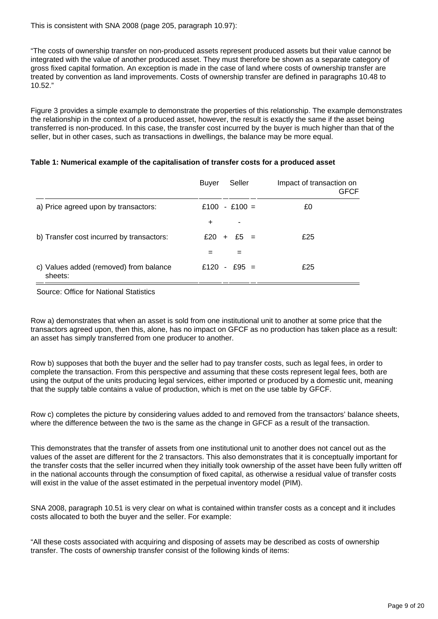"The costs of ownership transfer on non-produced assets represent produced assets but their value cannot be integrated with the value of another produced asset. They must therefore be shown as a separate category of gross fixed capital formation. An exception is made in the case of land where costs of ownership transfer are treated by convention as land improvements. Costs of ownership transfer are defined in paragraphs 10.48 to 10.52."

Figure 3 provides a simple example to demonstrate the properties of this relationship. The example demonstrates the relationship in the context of a produced asset, however, the result is exactly the same if the asset being transferred is non-produced. In this case, the transfer cost incurred by the buyer is much higher than that of the seller, but in other cases, such as transactions in dwellings, the balance may be more equal.

|                                                   | Seller<br>Buyer                 | Impact of transaction on<br>GFCF |
|---------------------------------------------------|---------------------------------|----------------------------------|
| a) Price agreed upon by transactors:              | £100 - £100 =                   | £0                               |
|                                                   | $\ddot{}$<br>٠                  |                                  |
| b) Transfer cost incurred by transactors:         | £20<br>£5 $=$<br>$+$            | £25                              |
|                                                   |                                 |                                  |
| c) Values added (removed) from balance<br>sheets: | £120<br>£95 =<br>$\blacksquare$ | £25                              |

#### **Table 1: Numerical example of the capitalisation of transfer costs for a produced asset**

Source: Office for National Statistics

Row a) demonstrates that when an asset is sold from one institutional unit to another at some price that the transactors agreed upon, then this, alone, has no impact on GFCF as no production has taken place as a result: an asset has simply transferred from one producer to another.

Row b) supposes that both the buyer and the seller had to pay transfer costs, such as legal fees, in order to complete the transaction. From this perspective and assuming that these costs represent legal fees, both are using the output of the units producing legal services, either imported or produced by a domestic unit, meaning that the supply table contains a value of production, which is met on the use table by GFCF.

Row c) completes the picture by considering values added to and removed from the transactors' balance sheets, where the difference between the two is the same as the change in GFCF as a result of the transaction.

This demonstrates that the transfer of assets from one institutional unit to another does not cancel out as the values of the asset are different for the 2 transactors. This also demonstrates that it is conceptually important for the transfer costs that the seller incurred when they initially took ownership of the asset have been fully written off in the national accounts through the consumption of fixed capital, as otherwise a residual value of transfer costs will exist in the value of the asset estimated in the perpetual inventory model (PIM).

SNA 2008, paragraph 10.51 is very clear on what is contained within transfer costs as a concept and it includes costs allocated to both the buyer and the seller. For example:

"All these costs associated with acquiring and disposing of assets may be described as costs of ownership transfer. The costs of ownership transfer consist of the following kinds of items: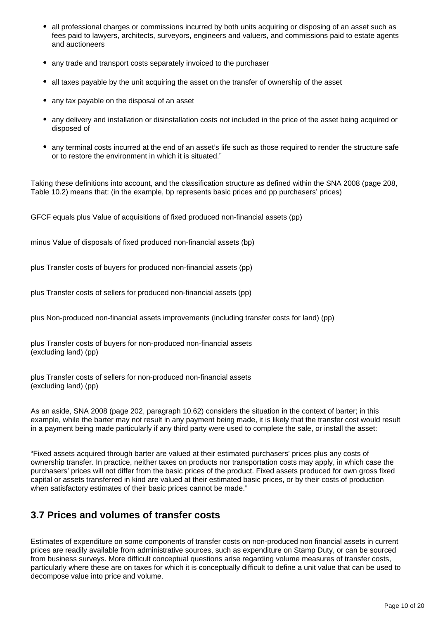- all professional charges or commissions incurred by both units acquiring or disposing of an asset such as fees paid to lawyers, architects, surveyors, engineers and valuers, and commissions paid to estate agents and auctioneers
- any trade and transport costs separately invoiced to the purchaser
- all taxes payable by the unit acquiring the asset on the transfer of ownership of the asset
- any tax payable on the disposal of an asset
- any delivery and installation or disinstallation costs not included in the price of the asset being acquired or disposed of
- any terminal costs incurred at the end of an asset's life such as those required to render the structure safe or to restore the environment in which it is situated."

Taking these definitions into account, and the classification structure as defined within the SNA 2008 (page 208, Table 10.2) means that: (in the example, bp represents basic prices and pp purchasers' prices)

GFCF equals plus Value of acquisitions of fixed produced non-financial assets (pp)

minus Value of disposals of fixed produced non-financial assets (bp)

plus Transfer costs of buyers for produced non-financial assets (pp)

plus Transfer costs of sellers for produced non-financial assets (pp)

plus Non-produced non-financial assets improvements (including transfer costs for land) (pp)

plus Transfer costs of buyers for non-produced non-financial assets (excluding land) (pp)

plus Transfer costs of sellers for non-produced non-financial assets (excluding land) (pp)

As an aside, SNA 2008 (page 202, paragraph 10.62) considers the situation in the context of barter; in this example, while the barter may not result in any payment being made, it is likely that the transfer cost would result in a payment being made particularly if any third party were used to complete the sale, or install the asset:

"Fixed assets acquired through barter are valued at their estimated purchasers' prices plus any costs of ownership transfer. In practice, neither taxes on products nor transportation costs may apply, in which case the purchasers' prices will not differ from the basic prices of the product. Fixed assets produced for own gross fixed capital or assets transferred in kind are valued at their estimated basic prices, or by their costs of production when satisfactory estimates of their basic prices cannot be made."

### **3.7 Prices and volumes of transfer costs**

Estimates of expenditure on some components of transfer costs on non-produced non financial assets in current prices are readily available from administrative sources, such as expenditure on Stamp Duty, or can be sourced from business surveys. More difficult conceptual questions arise regarding volume measures of transfer costs, particularly where these are on taxes for which it is conceptually difficult to define a unit value that can be used to decompose value into price and volume.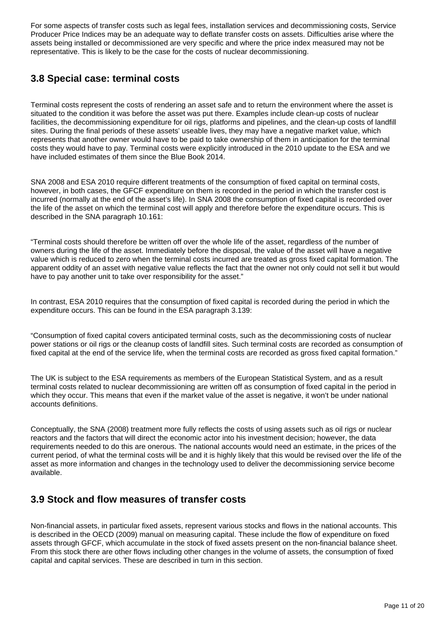For some aspects of transfer costs such as legal fees, installation services and decommissioning costs, Service Producer Price Indices may be an adequate way to deflate transfer costs on assets. Difficulties arise where the assets being installed or decommissioned are very specific and where the price index measured may not be representative. This is likely to be the case for the costs of nuclear decommissioning.

## **3.8 Special case: terminal costs**

Terminal costs represent the costs of rendering an asset safe and to return the environment where the asset is situated to the condition it was before the asset was put there. Examples include clean-up costs of nuclear facilities, the decommissioning expenditure for oil rigs, platforms and pipelines, and the clean-up costs of landfill sites. During the final periods of these assets' useable lives, they may have a negative market value, which represents that another owner would have to be paid to take ownership of them in anticipation for the terminal costs they would have to pay. Terminal costs were explicitly introduced in the 2010 update to the ESA and we have included estimates of them since the Blue Book 2014.

SNA 2008 and ESA 2010 require different treatments of the consumption of fixed capital on terminal costs, however, in both cases, the GFCF expenditure on them is recorded in the period in which the transfer cost is incurred (normally at the end of the asset's life). In SNA 2008 the consumption of fixed capital is recorded over the life of the asset on which the terminal cost will apply and therefore before the expenditure occurs. This is described in the SNA paragraph 10.161:

"Terminal costs should therefore be written off over the whole life of the asset, regardless of the number of owners during the life of the asset. Immediately before the disposal, the value of the asset will have a negative value which is reduced to zero when the terminal costs incurred are treated as gross fixed capital formation. The apparent oddity of an asset with negative value reflects the fact that the owner not only could not sell it but would have to pay another unit to take over responsibility for the asset."

In contrast, ESA 2010 requires that the consumption of fixed capital is recorded during the period in which the expenditure occurs. This can be found in the ESA paragraph 3.139:

"Consumption of fixed capital covers anticipated terminal costs, such as the decommissioning costs of nuclear power stations or oil rigs or the cleanup costs of landfill sites. Such terminal costs are recorded as consumption of fixed capital at the end of the service life, when the terminal costs are recorded as gross fixed capital formation."

The UK is subject to the ESA requirements as members of the European Statistical System, and as a result terminal costs related to nuclear decommissioning are written off as consumption of fixed capital in the period in which they occur. This means that even if the market value of the asset is negative, it won't be under national accounts definitions.

Conceptually, the SNA (2008) treatment more fully reflects the costs of using assets such as oil rigs or nuclear reactors and the factors that will direct the economic actor into his investment decision; however, the data requirements needed to do this are onerous. The national accounts would need an estimate, in the prices of the current period, of what the terminal costs will be and it is highly likely that this would be revised over the life of the asset as more information and changes in the technology used to deliver the decommissioning service become available.

### **3.9 Stock and flow measures of transfer costs**

Non-financial assets, in particular fixed assets, represent various stocks and flows in the national accounts. This is described in the OECD (2009) manual on measuring capital. These include the flow of expenditure on fixed assets through GFCF, which accumulate in the stock of fixed assets present on the non-financial balance sheet. From this stock there are other flows including other changes in the volume of assets, the consumption of fixed capital and capital services. These are described in turn in this section.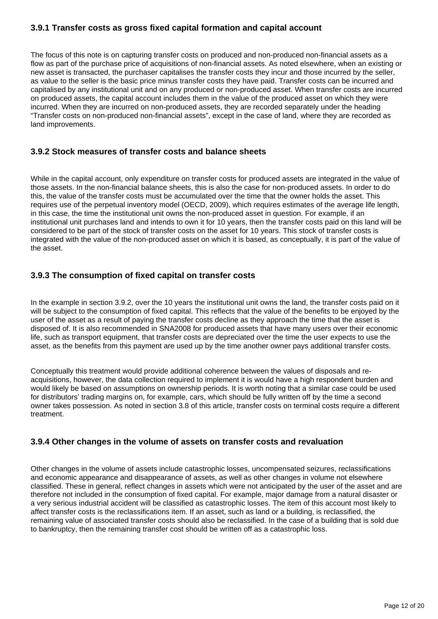#### **3.9.1 Transfer costs as gross fixed capital formation and capital account**

The focus of this note is on capturing transfer costs on produced and non-produced non-financial assets as a flow as part of the purchase price of acquisitions of non-financial assets. As noted elsewhere, when an existing or new asset is transacted, the purchaser capitalises the transfer costs they incur and those incurred by the seller, as value to the seller is the basic price minus transfer costs they have paid. Transfer costs can be incurred and capitalised by any institutional unit and on any produced or non-produced asset. When transfer costs are incurred on produced assets, the capital account includes them in the value of the produced asset on which they were incurred. When they are incurred on non-produced assets, they are recorded separately under the heading "Transfer costs on non-produced non-financial assets", except in the case of land, where they are recorded as land improvements.

#### **3.9.2 Stock measures of transfer costs and balance sheets**

While in the capital account, only expenditure on transfer costs for produced assets are integrated in the value of those assets. In the non-financial balance sheets, this is also the case for non-produced assets. In order to do this, the value of the transfer costs must be accumulated over the time that the owner holds the asset. This requires use of the perpetual inventory model (OECD, 2009), which requires estimates of the average life length, in this case, the time the institutional unit owns the non-produced asset in question. For example, if an institutional unit purchases land and intends to own it for 10 years, then the transfer costs paid on this land will be considered to be part of the stock of transfer costs on the asset for 10 years. This stock of transfer costs is integrated with the value of the non-produced asset on which it is based, as conceptually, it is part of the value of the asset.

#### **3.9.3 The consumption of fixed capital on transfer costs**

In the example in section 3.9.2, over the 10 years the institutional unit owns the land, the transfer costs paid on it will be subject to the consumption of fixed capital. This reflects that the value of the benefits to be enjoyed by the user of the asset as a result of paying the transfer costs decline as they approach the time that the asset is disposed of. It is also recommended in SNA2008 for produced assets that have many users over their economic life, such as transport equipment, that transfer costs are depreciated over the time the user expects to use the asset, as the benefits from this payment are used up by the time another owner pays additional transfer costs.

Conceptually this treatment would provide additional coherence between the values of disposals and reacquisitions, however, the data collection required to implement it is would have a high respondent burden and would likely be based on assumptions on ownership periods. It is worth noting that a similar case could be used for distributors' trading margins on, for example, cars, which should be fully written off by the time a second owner takes possession. As noted in section 3.8 of this article, transfer costs on terminal costs require a different treatment.

#### **3.9.4 Other changes in the volume of assets on transfer costs and revaluation**

Other changes in the volume of assets include catastrophic losses, uncompensated seizures, reclassifications and economic appearance and disappearance of assets, as well as other changes in volume not elsewhere classified. These in general, reflect changes in assets which were not anticipated by the user of the asset and are therefore not included in the consumption of fixed capital. For example, major damage from a natural disaster or a very serious industrial accident will be classified as catastrophic losses. The item of this account most likely to affect transfer costs is the reclassifications item. If an asset, such as land or a building, is reclassified, the remaining value of associated transfer costs should also be reclassified. In the case of a building that is sold due to bankruptcy, then the remaining transfer cost should be written off as a catastrophic loss.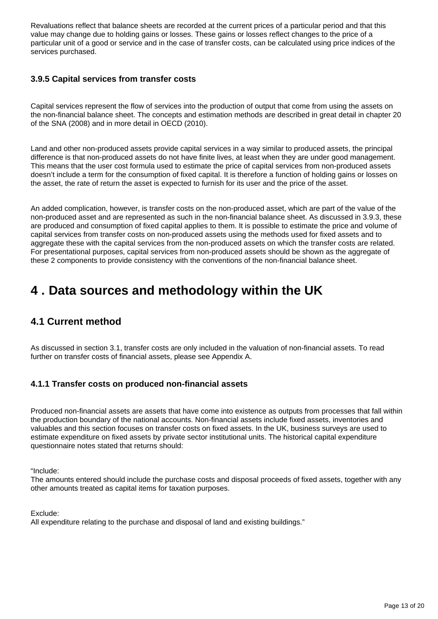Revaluations reflect that balance sheets are recorded at the current prices of a particular period and that this value may change due to holding gains or losses. These gains or losses reflect changes to the price of a particular unit of a good or service and in the case of transfer costs, can be calculated using price indices of the services purchased.

#### **3.9.5 Capital services from transfer costs**

Capital services represent the flow of services into the production of output that come from using the assets on the non-financial balance sheet. The concepts and estimation methods are described in great detail in chapter 20 of the SNA (2008) and in more detail in OECD (2010).

Land and other non-produced assets provide capital services in a way similar to produced assets, the principal difference is that non-produced assets do not have finite lives, at least when they are under good management. This means that the user cost formula used to estimate the price of capital services from non-produced assets doesn't include a term for the consumption of fixed capital. It is therefore a function of holding gains or losses on the asset, the rate of return the asset is expected to furnish for its user and the price of the asset.

An added complication, however, is transfer costs on the non-produced asset, which are part of the value of the non-produced asset and are represented as such in the non-financial balance sheet. As discussed in 3.9.3, these are produced and consumption of fixed capital applies to them. It is possible to estimate the price and volume of capital services from transfer costs on non-produced assets using the methods used for fixed assets and to aggregate these with the capital services from the non-produced assets on which the transfer costs are related. For presentational purposes, capital services from non-produced assets should be shown as the aggregate of these 2 components to provide consistency with the conventions of the non-financial balance sheet.

## <span id="page-12-0"></span>**4 . Data sources and methodology within the UK**

### **4.1 Current method**

As discussed in section 3.1, transfer costs are only included in the valuation of non-financial assets. To read further on transfer costs of financial assets, please see Appendix A.

#### **4.1.1 Transfer costs on produced non-financial assets**

Produced non-financial assets are assets that have come into existence as outputs from processes that fall within the production boundary of the national accounts. Non-financial assets include fixed assets, inventories and valuables and this section focuses on transfer costs on fixed assets. In the UK, business surveys are used to estimate expenditure on fixed assets by private sector institutional units. The historical capital expenditure questionnaire notes stated that returns should:

"Include:

The amounts entered should include the purchase costs and disposal proceeds of fixed assets, together with any other amounts treated as capital items for taxation purposes.

Exclude:

All expenditure relating to the purchase and disposal of land and existing buildings."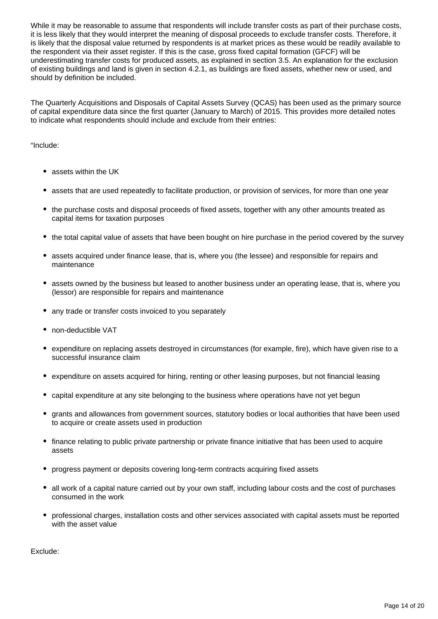While it may be reasonable to assume that respondents will include transfer costs as part of their purchase costs, it is less likely that they would interpret the meaning of disposal proceeds to exclude transfer costs. Therefore, it is likely that the disposal value returned by respondents is at market prices as these would be readily available to the respondent via their asset register. If this is the case, gross fixed capital formation (GFCF) will be underestimating transfer costs for produced assets, as explained in section 3.5. An explanation for the exclusion of existing buildings and land is given in section 4.2.1, as buildings are fixed assets, whether new or used, and should by definition be included.

The Quarterly Acquisitions and Disposals of Capital Assets Survey (QCAS) has been used as the primary source of capital expenditure data since the first quarter (January to March) of 2015. This provides more detailed notes to indicate what respondents should include and exclude from their entries:

"Include:

- assets within the UK
- assets that are used repeatedly to facilitate production, or provision of services, for more than one year
- the purchase costs and disposal proceeds of fixed assets, together with any other amounts treated as capital items for taxation purposes
- the total capital value of assets that have been bought on hire purchase in the period covered by the survey
- assets acquired under finance lease, that is, where you (the lessee) and responsible for repairs and maintenance
- assets owned by the business but leased to another business under an operating lease, that is, where you (lessor) are responsible for repairs and maintenance
- any trade or transfer costs invoiced to you separately
- non-deductible VAT
- expenditure on replacing assets destroyed in circumstances (for example, fire), which have given rise to a successful insurance claim
- expenditure on assets acquired for hiring, renting or other leasing purposes, but not financial leasing
- capital expenditure at any site belonging to the business where operations have not yet begun
- grants and allowances from government sources, statutory bodies or local authorities that have been used to acquire or create assets used in production
- finance relating to public private partnership or private finance initiative that has been used to acquire assets
- progress payment or deposits covering long-term contracts acquiring fixed assets
- all work of a capital nature carried out by your own staff, including labour costs and the cost of purchases consumed in the work
- professional charges, installation costs and other services associated with capital assets must be reported with the asset value

Exclude: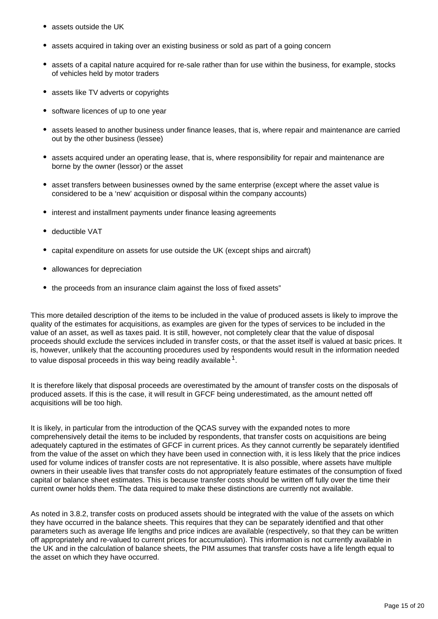- assets outside the UK
- assets acquired in taking over an existing business or sold as part of a going concern
- assets of a capital nature acquired for re-sale rather than for use within the business, for example, stocks of vehicles held by motor traders
- assets like TV adverts or copyrights
- software licences of up to one year
- assets leased to another business under finance leases, that is, where repair and maintenance are carried out by the other business (lessee)
- assets acquired under an operating lease, that is, where responsibility for repair and maintenance are borne by the owner (lessor) or the asset
- asset transfers between businesses owned by the same enterprise (except where the asset value is considered to be a 'new' acquisition or disposal within the company accounts)
- interest and installment payments under finance leasing agreements
- deductible VAT
- capital expenditure on assets for use outside the UK (except ships and aircraft)
- allowances for depreciation
- the proceeds from an insurance claim against the loss of fixed assets"

This more detailed description of the items to be included in the value of produced assets is likely to improve the quality of the estimates for acquisitions, as examples are given for the types of services to be included in the value of an asset, as well as taxes paid. It is still, however, not completely clear that the value of disposal proceeds should exclude the services included in transfer costs, or that the asset itself is valued at basic prices. It is, however, unlikely that the accounting procedures used by respondents would result in the information needed to value disposal proceeds in this way being readily available  $^{\mathsf{1}}.$ 

It is therefore likely that disposal proceeds are overestimated by the amount of transfer costs on the disposals of produced assets. If this is the case, it will result in GFCF being underestimated, as the amount netted off acquisitions will be too high.

It is likely, in particular from the introduction of the QCAS survey with the expanded notes to more comprehensively detail the items to be included by respondents, that transfer costs on acquisitions are being adequately captured in the estimates of GFCF in current prices. As they cannot currently be separately identified from the value of the asset on which they have been used in connection with, it is less likely that the price indices used for volume indices of transfer costs are not representative. It is also possible, where assets have multiple owners in their useable lives that transfer costs do not appropriately feature estimates of the consumption of fixed capital or balance sheet estimates. This is because transfer costs should be written off fully over the time their current owner holds them. The data required to make these distinctions are currently not available.

As noted in 3.8.2, transfer costs on produced assets should be integrated with the value of the assets on which they have occurred in the balance sheets. This requires that they can be separately identified and that other parameters such as average life lengths and price indices are available (respectively, so that they can be written off appropriately and re-valued to current prices for accumulation). This information is not currently available in the UK and in the calculation of balance sheets, the PIM assumes that transfer costs have a life length equal to the asset on which they have occurred.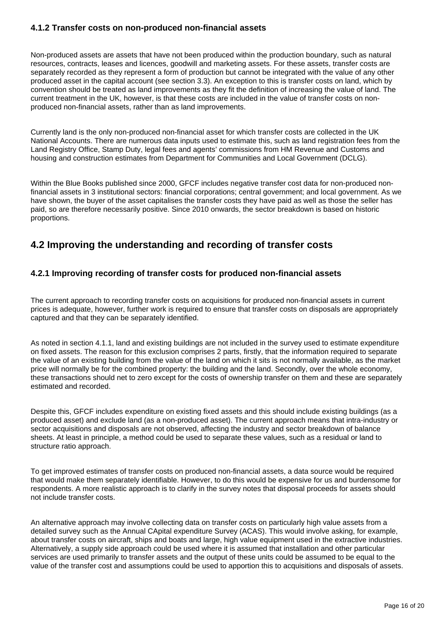#### **4.1.2 Transfer costs on non-produced non-financial assets**

Non-produced assets are assets that have not been produced within the production boundary, such as natural resources, contracts, leases and licences, goodwill and marketing assets. For these assets, transfer costs are separately recorded as they represent a form of production but cannot be integrated with the value of any other produced asset in the capital account (see section 3.3). An exception to this is transfer costs on land, which by convention should be treated as land improvements as they fit the definition of increasing the value of land. The current treatment in the UK, however, is that these costs are included in the value of transfer costs on nonproduced non-financial assets, rather than as land improvements.

Currently land is the only non-produced non-financial asset for which transfer costs are collected in the UK National Accounts. There are numerous data inputs used to estimate this, such as land registration fees from the Land Registry Office, Stamp Duty, legal fees and agents' commissions from HM Revenue and Customs and housing and construction estimates from Department for Communities and Local Government (DCLG).

Within the Blue Books published since 2000, GFCF includes negative transfer cost data for non-produced nonfinancial assets in 3 institutional sectors: financial corporations; central government; and local government. As we have shown, the buyer of the asset capitalises the transfer costs they have paid as well as those the seller has paid, so are therefore necessarily positive. Since 2010 onwards, the sector breakdown is based on historic proportions.

## **4.2 Improving the understanding and recording of transfer costs**

#### **4.2.1 Improving recording of transfer costs for produced non-financial assets**

The current approach to recording transfer costs on acquisitions for produced non-financial assets in current prices is adequate, however, further work is required to ensure that transfer costs on disposals are appropriately captured and that they can be separately identified.

As noted in section 4.1.1, land and existing buildings are not included in the survey used to estimate expenditure on fixed assets. The reason for this exclusion comprises 2 parts, firstly, that the information required to separate the value of an existing building from the value of the land on which it sits is not normally available, as the market price will normally be for the combined property: the building and the land. Secondly, over the whole economy, these transactions should net to zero except for the costs of ownership transfer on them and these are separately estimated and recorded.

Despite this, GFCF includes expenditure on existing fixed assets and this should include existing buildings (as a produced asset) and exclude land (as a non-produced asset). The current approach means that intra-industry or sector acquisitions and disposals are not observed, affecting the industry and sector breakdown of balance sheets. At least in principle, a method could be used to separate these values, such as a residual or land to structure ratio approach.

To get improved estimates of transfer costs on produced non-financial assets, a data source would be required that would make them separately identifiable. However, to do this would be expensive for us and burdensome for respondents. A more realistic approach is to clarify in the survey notes that disposal proceeds for assets should not include transfer costs.

An alternative approach may involve collecting data on transfer costs on particularly high value assets from a detailed survey such as the Annual CApital expenditure Survey (ACAS). This would involve asking, for example, about transfer costs on aircraft, ships and boats and large, high value equipment used in the extractive industries. Alternatively, a supply side approach could be used where it is assumed that installation and other particular services are used primarily to transfer assets and the output of these units could be assumed to be equal to the value of the transfer cost and assumptions could be used to apportion this to acquisitions and disposals of assets.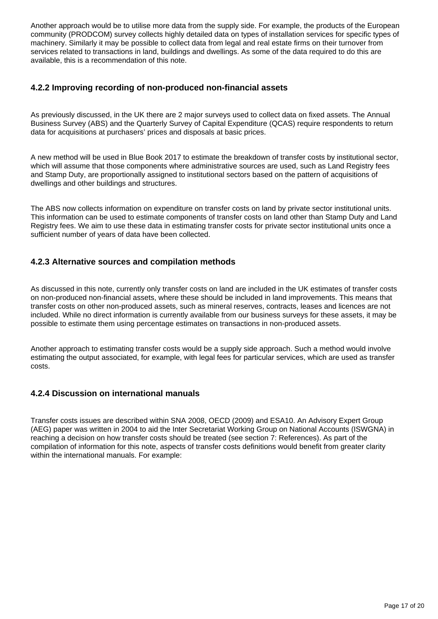Another approach would be to utilise more data from the supply side. For example, the products of the European community (PRODCOM) survey collects highly detailed data on types of installation services for specific types of machinery. Similarly it may be possible to collect data from legal and real estate firms on their turnover from services related to transactions in land, buildings and dwellings. As some of the data required to do this are available, this is a recommendation of this note.

#### **4.2.2 Improving recording of non-produced non-financial assets**

As previously discussed, in the UK there are 2 major surveys used to collect data on fixed assets. The Annual Business Survey (ABS) and the Quarterly Survey of Capital Expenditure (QCAS) require respondents to return data for acquisitions at purchasers' prices and disposals at basic prices.

A new method will be used in Blue Book 2017 to estimate the breakdown of transfer costs by institutional sector, which will assume that those components where administrative sources are used, such as Land Registry fees and Stamp Duty, are proportionally assigned to institutional sectors based on the pattern of acquisitions of dwellings and other buildings and structures.

The ABS now collects information on expenditure on transfer costs on land by private sector institutional units. This information can be used to estimate components of transfer costs on land other than Stamp Duty and Land Registry fees. We aim to use these data in estimating transfer costs for private sector institutional units once a sufficient number of years of data have been collected.

#### **4.2.3 Alternative sources and compilation methods**

As discussed in this note, currently only transfer costs on land are included in the UK estimates of transfer costs on non-produced non-financial assets, where these should be included in land improvements. This means that transfer costs on other non-produced assets, such as mineral reserves, contracts, leases and licences are not included. While no direct information is currently available from our business surveys for these assets, it may be possible to estimate them using percentage estimates on transactions in non-produced assets.

Another approach to estimating transfer costs would be a supply side approach. Such a method would involve estimating the output associated, for example, with legal fees for particular services, which are used as transfer costs.

#### **4.2.4 Discussion on international manuals**

Transfer costs issues are described within SNA 2008, OECD (2009) and ESA10. An Advisory Expert Group (AEG) paper was written in 2004 to aid the Inter Secretariat Working Group on National Accounts (ISWGNA) in reaching a decision on how transfer costs should be treated (see section 7: References). As part of the compilation of information for this note, aspects of transfer costs definitions would benefit from greater clarity within the international manuals. For example: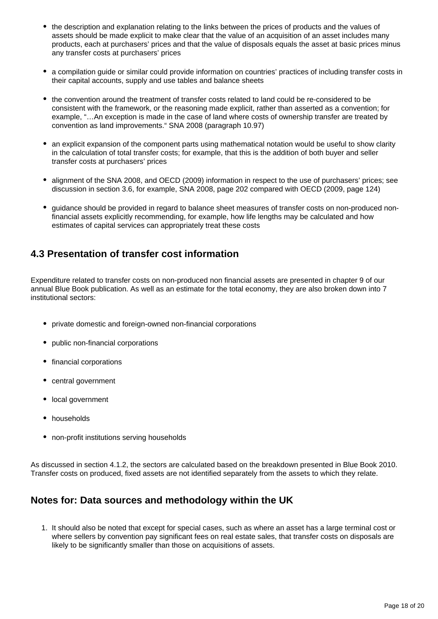- the description and explanation relating to the links between the prices of products and the values of assets should be made explicit to make clear that the value of an acquisition of an asset includes many products, each at purchasers' prices and that the value of disposals equals the asset at basic prices minus any transfer costs at purchasers' prices
- a compilation guide or similar could provide information on countries' practices of including transfer costs in their capital accounts, supply and use tables and balance sheets
- the convention around the treatment of transfer costs related to land could be re-considered to be consistent with the framework, or the reasoning made explicit, rather than asserted as a convention; for example, "…An exception is made in the case of land where costs of ownership transfer are treated by convention as land improvements." SNA 2008 (paragraph 10.97)
- an explicit expansion of the component parts using mathematical notation would be useful to show clarity in the calculation of total transfer costs; for example, that this is the addition of both buyer and seller transfer costs at purchasers' prices
- alignment of the SNA 2008, and OECD (2009) information in respect to the use of purchasers' prices; see discussion in section 3.6, for example, SNA 2008, page 202 compared with OECD (2009, page 124)
- quidance should be provided in regard to balance sheet measures of transfer costs on non-produced nonfinancial assets explicitly recommending, for example, how life lengths may be calculated and how estimates of capital services can appropriately treat these costs

## **4.3 Presentation of transfer cost information**

Expenditure related to transfer costs on non-produced non financial assets are presented in chapter 9 of our annual Blue Book publication. As well as an estimate for the total economy, they are also broken down into 7 institutional sectors:

- private domestic and foreign-owned non-financial corporations
- public non-financial corporations
- financial corporations
- central government
- local government
- households
- non-profit institutions serving households

As discussed in section 4.1.2, the sectors are calculated based on the breakdown presented in Blue Book 2010. Transfer costs on produced, fixed assets are not identified separately from the assets to which they relate.

### **Notes for: Data sources and methodology within the UK**

1. It should also be noted that except for special cases, such as where an asset has a large terminal cost or where sellers by convention pay significant fees on real estate sales, that transfer costs on disposals are likely to be significantly smaller than those on acquisitions of assets.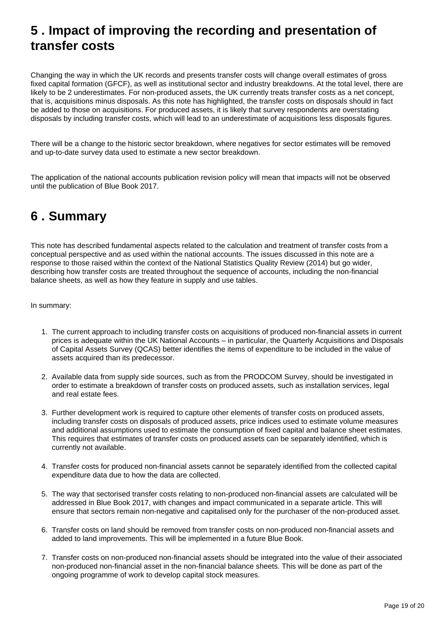## <span id="page-18-1"></span>**5 . Impact of improving the recording and presentation of transfer costs**

Changing the way in which the UK records and presents transfer costs will change overall estimates of gross fixed capital formation (GFCF), as well as institutional sector and industry breakdowns. At the total level, there are likely to be 2 underestimates. For non-produced assets, the UK currently treats transfer costs as a net concept, that is, acquisitions minus disposals. As this note has highlighted, the transfer costs on disposals should in fact be added to those on acquisitions. For produced assets, it is likely that survey respondents are overstating disposals by including transfer costs, which will lead to an underestimate of acquisitions less disposals figures.

There will be a change to the historic sector breakdown, where negatives for sector estimates will be removed and up-to-date survey data used to estimate a new sector breakdown.

The application of the national accounts publication revision policy will mean that impacts will not be observed until the publication of Blue Book 2017.

## <span id="page-18-0"></span>**6 . Summary**

This note has described fundamental aspects related to the calculation and treatment of transfer costs from a conceptual perspective and as used within the national accounts. The issues discussed in this note are a response to those raised within the context of the National Statistics Quality Review (2014) but go wider, describing how transfer costs are treated throughout the sequence of accounts, including the non-financial balance sheets, as well as how they feature in supply and use tables.

In summary:

- 1. The current approach to including transfer costs on acquisitions of produced non-financial assets in current prices is adequate within the UK National Accounts – in particular, the Quarterly Acquisitions and Disposals of Capital Assets Survey (QCAS) better identifies the items of expenditure to be included in the value of assets acquired than its predecessor.
- 2. Available data from supply side sources, such as from the PRODCOM Survey, should be investigated in order to estimate a breakdown of transfer costs on produced assets, such as installation services, legal and real estate fees.
- 3. Further development work is required to capture other elements of transfer costs on produced assets, including transfer costs on disposals of produced assets, price indices used to estimate volume measures and additional assumptions used to estimate the consumption of fixed capital and balance sheet estimates. This requires that estimates of transfer costs on produced assets can be separately identified, which is currently not available.
- 4. Transfer costs for produced non-financial assets cannot be separately identified from the collected capital expenditure data due to how the data are collected.
- 5. The way that sectorised transfer costs relating to non-produced non-financial assets are calculated will be addressed in Blue Book 2017, with changes and impact communicated in a separate article. This will ensure that sectors remain non-negative and capitalised only for the purchaser of the non-produced asset.
- 6. Transfer costs on land should be removed from transfer costs on non-produced non-financial assets and added to land improvements. This will be implemented in a future Blue Book.
- 7. Transfer costs on non-produced non-financial assets should be integrated into the value of their associated non-produced non-financial asset in the non-financial balance sheets. This will be done as part of the ongoing programme of work to develop capital stock measures.